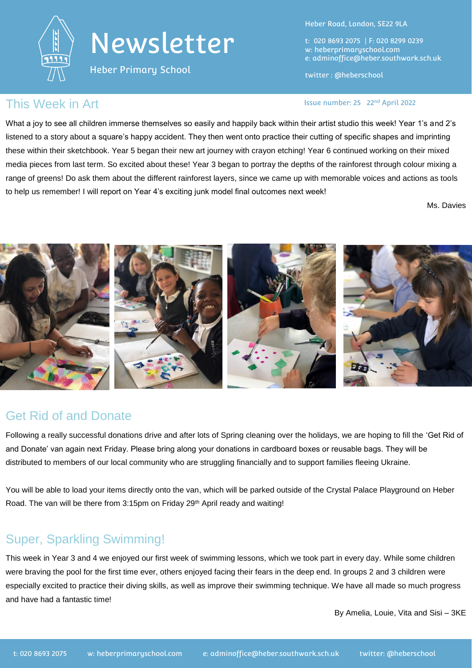

# Newsletter

Heber Primary School

Heber Road, London, SE22 9LA

t: 020 8693 2075 | F: 020 8299 0239 w: heberprimaryschool.com e: [adminoffice@heber.southwark.sch.uk](mailto:adminoffice@heber.southwark.sch.uk)

twitter : @heberschool

#### This Week in Art **Interpreterate and Contact Contact Contact Contact Contact Contact Contact Contact Contact Contact Contact Contact Contact Contact Contact Contact Contact Contact Contact Contact Contact Contact Contact C**

What a joy to see all children immerse themselves so easily and happily back within their artist studio this week! Year 1's and 2's listened to a story about a square's happy accident. They then went onto practice their cutting of specific shapes and imprinting these within their sketchbook. Year 5 began their new art journey with crayon etching! Year 6 continued working on their mixed media pieces from last term. So excited about these! Year 3 began to portray the depths of the rainforest through colour mixing a range of greens! Do ask them about the different rainforest layers, since we came up with memorable voices and actions as tools to help us remember! I will report on Year 4's exciting junk model final outcomes next week!

Ms. Davies



#### Get Rid of and Donate

Following a really successful donations drive and after lots of Spring cleaning over the holidays, we are hoping to fill the 'Get Rid of and Donate' van again next Friday. Please bring along your donations in cardboard boxes or reusable bags. They will be distributed to members of our local community who are struggling financially and to support families fleeing Ukraine.

You will be able to load your items directly onto the van, which will be parked outside of the Crystal Palace Playground on Heber Road. The van will be there from 3:15pm on Friday 29<sup>th</sup> April ready and waiting!

### Super, Sparkling Swimming!

This week in Year 3 and 4 we enjoyed our first week of swimming lessons, which we took part in every day. While some children were braving the pool for the first time ever, others enjoyed facing their fears in the deep end. In groups 2 and 3 children were especially excited to practice their diving skills, as well as improve their swimming technique. We have all made so much progress and have had a fantastic time!

By Amelia, Louie, Vita and Sisi – 3KE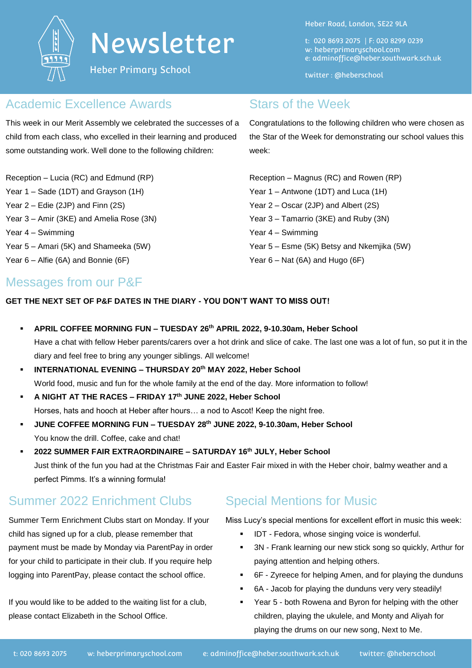

## Newsletter

Heber Primary School

Heber Road, London, SE22 9LA

t: 020 8693 2075 | F: 020 8299 0239 w: heberprimaryschool.com e: [adminoffice@heber.southwark.sch.uk](mailto:adminoffice@heber.southwark.sch.uk)

twitter : @heberschool

#### Academic Excellence Awards

This week in our Merit Assembly we celebrated the successes of a child from each class, who excelled in their learning and produced some outstanding work. Well done to the following children:

Reception – Lucia (RC) and Edmund (RP) Year 1 – Sade (1DT) and Grayson (1H) Year 2 – Edie (2JP) and Finn (2S) Year 3 – Amir (3KE) and Amelia Rose (3N) Year 4 – Swimming Year 5 – Amari (5K) and Shameeka (5W) Year 6 – Alfie (6A) and Bonnie (6F)

#### Stars of the Week

Congratulations to the following children who were chosen as the Star of the Week for demonstrating our school values this week:

Reception – Magnus (RC) and Rowen (RP) Year 1 – Antwone (1DT) and Luca (1H) Year 2 – Oscar (2JP) and Albert (2S) Year 3 – Tamarrio (3KE) and Ruby (3N) Year 4 – Swimming Year 5 – Esme (5K) Betsy and Nkemjika (5W) Year  $6 - Nat (6A)$  and Hugo  $(6F)$ 

#### Messages from our P&F

**GET THE NEXT SET OF P&F DATES IN THE DIARY - YOU DON'T WANT TO MISS OUT!**

- **APRIL COFFEE MORNING FUN – TUESDAY 26th APRIL 2022, 9-10.30am, Heber School** Have a chat with fellow Heber parents/carers over a hot drink and slice of cake. The last one was a lot of fun, so put it in the diary and feel free to bring any younger siblings. All welcome!
- **INTERNATIONAL EVENING – THURSDAY 20th MAY 2022, Heber School** World food, music and fun for the whole family at the end of the day. More information to follow!
- **A NIGHT AT THE RACES – FRIDAY 17th JUNE 2022, Heber School** Horses, hats and hooch at Heber after hours… a nod to Ascot! Keep the night free.
- **JUNE COFFEE MORNING FUN – TUESDAY 28th JUNE 2022, 9-10.30am, Heber School** You know the drill. Coffee, cake and chat!
- **2022 SUMMER FAIR EXTRAORDINAIRE – SATURDAY 16th JULY, Heber School** Just think of the fun you had at the Christmas Fair and Easter Fair mixed in with the Heber choir, balmy weather and a perfect Pimms. It's a winning formula!

### Summer 2022 Enrichment Clubs

Summer Term Enrichment Clubs start on Monday. If your child has signed up for a club, please remember that payment must be made by Monday via ParentPay in order for your child to participate in their club. If you require help logging into ParentPay, please contact the school office.

If you would like to be added to the waiting list for a club, please contact Elizabeth in the School Office.

#### Special Mentions for Music

Miss Lucy's special mentions for excellent effort in music this week:

- **IDT** Fedora, whose singing voice is wonderful.
- 3N Frank learning our new stick song so quickly, Arthur for paying attention and helping others.
- 6F Zyreece for helping Amen, and for playing the dunduns
- 6A Jacob for playing the dunduns very very steadily!
- Year 5 both Rowena and Byron for helping with the other children, playing the ukulele, and Monty and Aliyah for playing the drums on our new song, Next to Me.